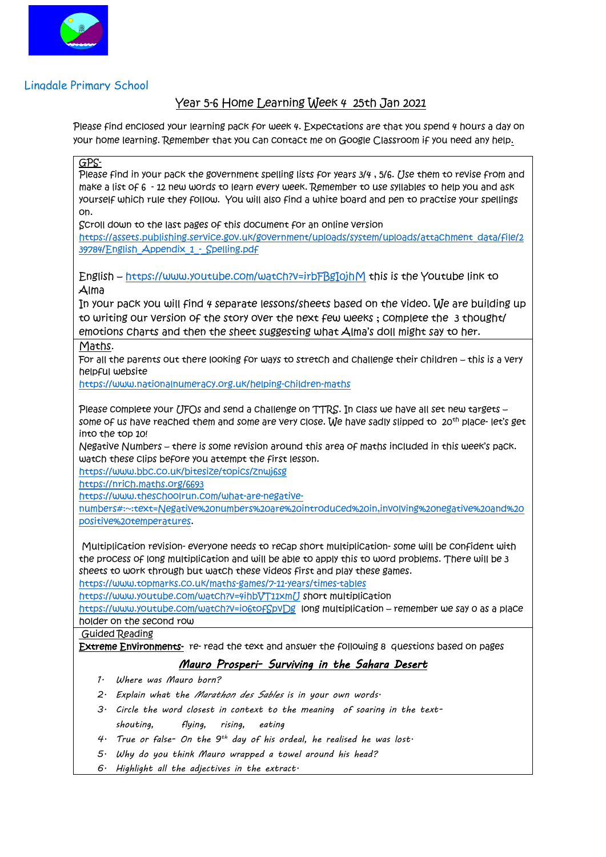

## Lingdale Primary School

## Year 5-6 Home Learning Week 4 25th Jan 2021

Please find enclosed your learning pack for week 4. Expectations are that you spend 4 hours a day on your home learning. Remember that you can contact me on Google Classroom if you need any help.

GPS-

Please find in your pack the government spelling lists for years 3/4 , 5/6. Use them to revise from and make a list of 6 - 12 new words to learn every week. Remember to use syllables to help you and ask yourself which rule they follow. You will also find a white board and pen to practise your spellings on.

Scroll down to the last pages of this document for an online version

[https://assets.publishing.service.gov.uk/government/uploads/system/uploads/attachment\\_data/file/2](https://assets.publishing.service.gov.uk/government/uploads/system/uploads/attachment_data/file/239784/English_Appendix_1_-_Spelling.pdf) 39784/English Appendix 1 - Spelling.pdf

English – <https://www.youtube.com/watch?v=irbFBgI0jhM> this is the Youtube link to Alma

In your pack you will find 4 separate lessons/sheets based on the video. We are building up to writing our version of the story over the next few weeks ; complete the 3 thought/ emotions charts and then the sheet suggesting what Alma's doll might say to her.

Maths.

For all the parents out there looking for ways to stretch and challenge their children – this is a very helpful website

<https://www.nationalnumeracy.org.uk/helping-children-maths>

Please complete your *(JFOs and send a challenge on TTRS*. In class we have all set new targets some of us have reached them and some are very close. We have sadly slipped to 20<sup>th</sup> place- let's get into the top 10!

Negative Numbers – there is some revision around this area of maths included in this week's pack. watch these clips before you attempt the first lesson.

<https://www.bbc.co.uk/bitesize/topics/znwj6sg>

<https://nrich.maths.org/6693>

[https://www.theschoolrun.com/what-are-negative-](https://www.theschoolrun.com/what-are-negative-numbers#:~:text=Negative%20numbers%20are%20introduced%20in,involving%20negative%20and%20positive%20temperatures)

[numbers#:~:text=Negative%20numbers%20are%20introduced%20in,involving%20negative%20and%20](https://www.theschoolrun.com/what-are-negative-numbers#:~:text=Negative%20numbers%20are%20introduced%20in,involving%20negative%20and%20positive%20temperatures) [positive%20temperatures.](https://www.theschoolrun.com/what-are-negative-numbers#:~:text=Negative%20numbers%20are%20introduced%20in,involving%20negative%20and%20positive%20temperatures)

Multiplication revision- everyone needs to recap short multiplication- some will be confident with the process of long multiplication and will be able to apply this to word problems. There will be 3 sheets to work through but watch these videos first and play these games. <https://www.topmarks.co.uk/maths-games/7-11-years/times-tables>

<https://www.youtube.com/watch?v=4ihbVT11xmU> short multiplication

<https://www.youtube.com/watch?v=io6tofSpvDg>long multiplication – remember we say 0 as a place holder on the second row

Guided Reading

Extreme Environments- re- read the text and answer the following 8 questions based on pages

## *Mauro Prosperi- Surviving in the Sahara Desert*

- *1. Where was Mauro born?*
- *2. Explain what the Marathon des Sables is in your own words.*
- *3. Circle the word closest in context to the meaning of soaring in the textshouting, flying, rising, eating*
- *4. True or false- On the 9th day of his ordeal, he realised he was lost.*
- *5. Why do you think Mauro wrapped a towel around his head?*
- *6. Highlight all the adjectives in the extract.*